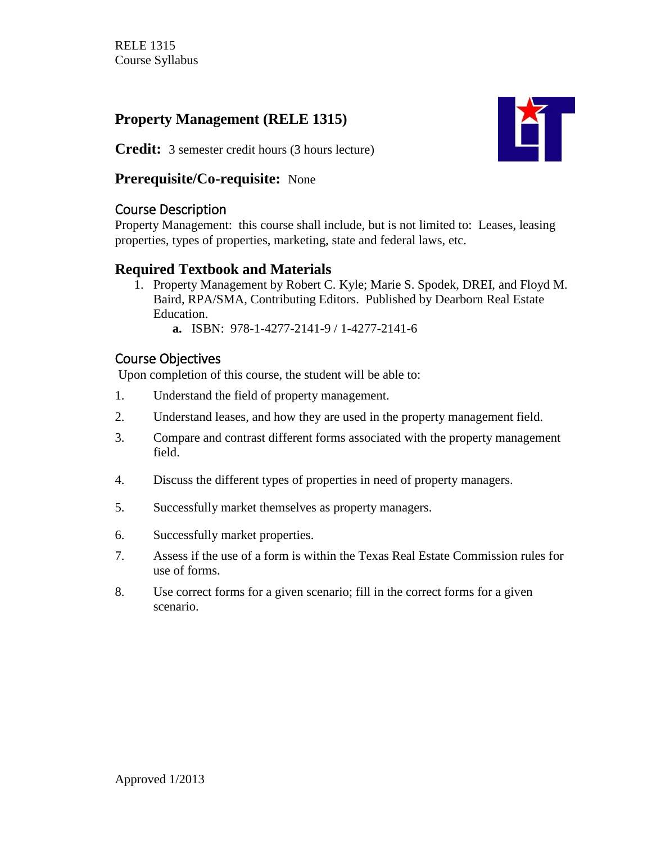## **Property Management (RELE 1315)**



**Credit:** 3 semester credit hours (3 hours lecture)

#### **Prerequisite/Co-requisite:** None

### Course Description

Property Management: this course shall include, but is not limited to: Leases, leasing properties, types of properties, marketing, state and federal laws, etc.

## **Required Textbook and Materials**

- 1. Property Management by Robert C. Kyle; Marie S. Spodek, DREI, and Floyd M. Baird, RPA/SMA, Contributing Editors. Published by Dearborn Real Estate Education.
	- **a.** ISBN: 978-1-4277-2141-9 / 1-4277-2141-6

## Course Objectives

Upon completion of this course, the student will be able to:

- 1. Understand the field of property management.
- 2. Understand leases, and how they are used in the property management field.
- 3. Compare and contrast different forms associated with the property management field.
- 4. Discuss the different types of properties in need of property managers.
- 5. Successfully market themselves as property managers.
- 6. Successfully market properties.
- 7. Assess if the use of a form is within the Texas Real Estate Commission rules for use of forms.
- 8. Use correct forms for a given scenario; fill in the correct forms for a given scenario.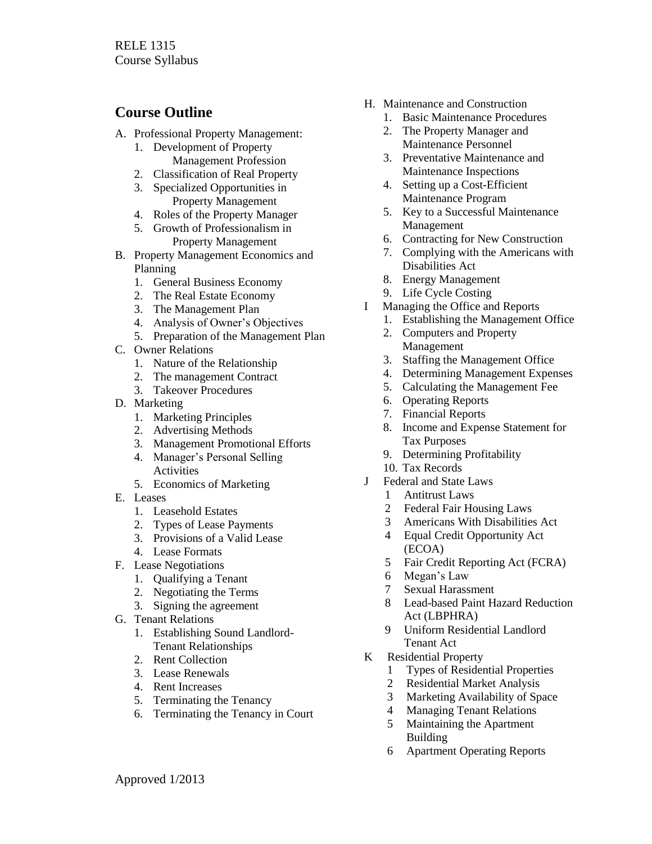### **Course Outline**

- A. Professional Property Management:
	- 1. Development of Property Management Profession
	- 2. Classification of Real Property
	- 3. Specialized Opportunities in Property Management
	- 4. Roles of the Property Manager
	- 5. Growth of Professionalism in Property Management
- B. Property Management Economics and Planning
	- 1. General Business Economy
	- 2. The Real Estate Economy
	- 3. The Management Plan
	- 4. Analysis of Owner's Objectives
	- 5. Preparation of the Management Plan
- C. Owner Relations
	- 1. Nature of the Relationship
	- 2. The management Contract
	- 3. Takeover Procedures
- D. Marketing
	- 1. Marketing Principles
	- 2. Advertising Methods
	- 3. Management Promotional Efforts
	- 4. Manager's Personal Selling Activities
	- 5. Economics of Marketing
- E. Leases
	- 1. Leasehold Estates
	- 2. Types of Lease Payments
	- 3. Provisions of a Valid Lease
	- 4. Lease Formats
- F. Lease Negotiations
	- 1. Qualifying a Tenant
	- 2. Negotiating the Terms
	- 3. Signing the agreement
- G. Tenant Relations
	- 1. Establishing Sound Landlord-Tenant Relationships
	- 2. Rent Collection
	- 3. Lease Renewals
	- 4. Rent Increases
	- 5. Terminating the Tenancy
	- 6. Terminating the Tenancy in Court
- H. Maintenance and Construction
	- 1. Basic Maintenance Procedures
	- 2. The Property Manager and Maintenance Personnel
	- 3. Preventative Maintenance and Maintenance Inspections
	- 4. Setting up a Cost-Efficient Maintenance Program
	- 5. Key to a Successful Maintenance Management
	- 6. Contracting for New Construction
	- 7. Complying with the Americans with Disabilities Act
	- 8. Energy Management
	- 9. Life Cycle Costing
- I Managing the Office and Reports
	- 1. Establishing the Management Office
	- 2. Computers and Property Management
	- 3. Staffing the Management Office
	- 4. Determining Management Expenses
	- 5. Calculating the Management Fee
	- 6. Operating Reports
	- 7. Financial Reports
	- 8. Income and Expense Statement for Tax Purposes
	- 9. Determining Profitability
	- 10. Tax Records
- J Federal and State Laws
	- 1 Antitrust Laws
	- 2 Federal Fair Housing Laws
	- 3 Americans With Disabilities Act
	- 4 Equal Credit Opportunity Act (ECOA)
	- 5 Fair Credit Reporting Act (FCRA)
	- 6 Megan's Law
	- 7 Sexual Harassment<br>8 Lead-based Paint H
	- Lead-based Paint Hazard Reduction Act (LBPHRA)
	- 9 Uniform Residential Landlord Tenant Act
- K Residential Property
	- 1 Types of Residential Properties
	- 2 Residential Market Analysis
	- 3 Marketing Availability of Space
	- 4 Managing Tenant Relations
	- 5 Maintaining the Apartment Building
	- 6 Apartment Operating Reports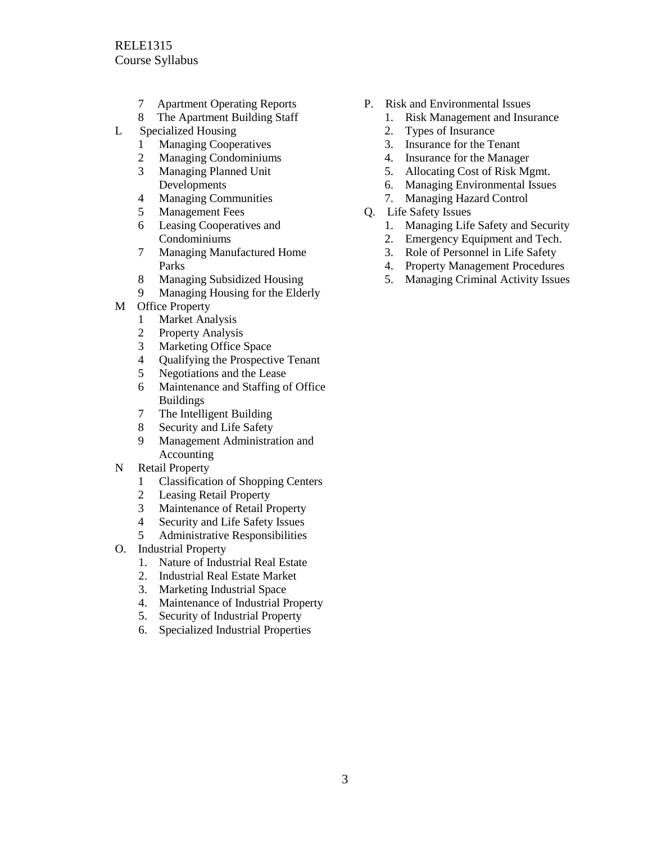- 7 Apartment Operating Reports
- 8 The Apartment Building Staff
- L Specialized Housing
	- **Managing Cooperatives**
	- 2 Managing Condominiums
	- 3 Managing Planned Unit Developments
	- 4 Managing Communities
	- 5 Management Fees
	- 6 Leasing Cooperatives and Condominiums
	- 7 Managing Manufactured Home Parks
	- 8 Managing Subsidized Housing
	- 9 Managing Housing for the Elderly
- M Office Property
	- 1 Market Analysis
	- 2 Property Analysis
	- 3 Marketing Office Space
	- 4 Qualifying the Prospective Tenant
	- 5 Negotiations and the Lease
	- 6 Maintenance and Staffing of Office Buildings
	- 7 The Intelligent Building
	- 8 Security and Life Safety
	- 9 Management Administration and Accounting
- N Retail Property
	- 1 Classification of Shopping Centers
	- 2 Leasing Retail Property
	- 3 Maintenance of Retail Property
	- 4 Security and Life Safety Issues
	- 5 Administrative Responsibilities
- O. Industrial Property
	- 1. Nature of Industrial Real Estate
	- 2. Industrial Real Estate Market
	- 3. Marketing Industrial Space
	- 4. Maintenance of Industrial Property
	- 5. Security of Industrial Property
	- 6. Specialized Industrial Properties
- P. Risk and Environmental Issues
	- 1. Risk Management and Insurance
	- 2. Types of Insurance
	- 3. Insurance for the Tenant
	- 4. Insurance for the Manager
	- 5. Allocating Cost of Risk Mgmt.
	- 6. Managing Environmental Issues
	- 7. Managing Hazard Control
- Q. Life Safety Issues
	- 1. Managing Life Safety and Security
	- 2. Emergency Equipment and Tech.
	- 3. Role of Personnel in Life Safety
	- 4. Property Management Procedures
	- 5. Managing Criminal Activity Issues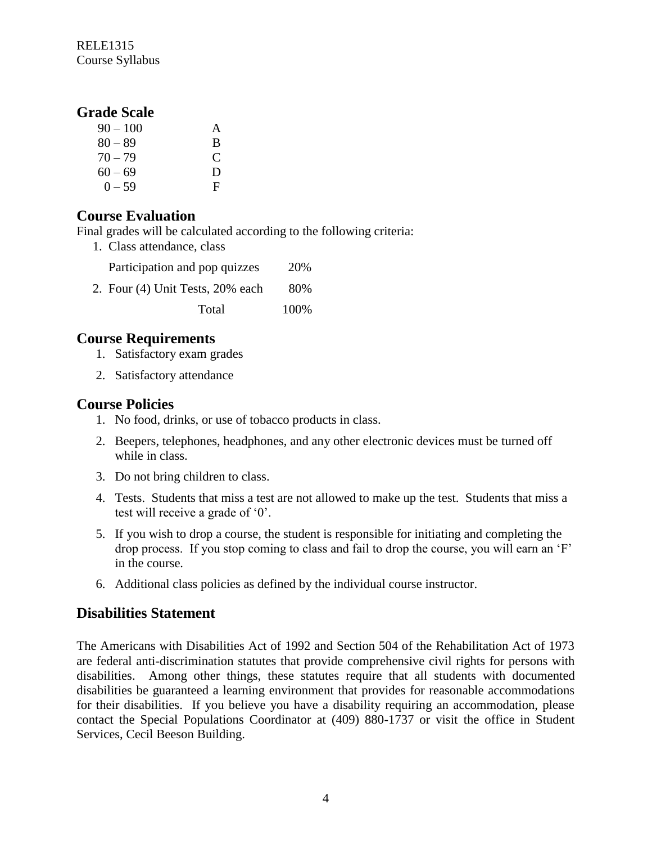RELE1315 Course Syllabus

#### **Grade Scale**

| $90 - 100$ | A |
|------------|---|
| $80 - 89$  | B |
| $70 - 79$  | C |
| $60 - 69$  | D |
| $0 - 59$   | F |

#### **Course Evaluation**

Final grades will be calculated according to the following criteria:

1. Class attendance, class

| Participation and pop quizzes    | 20%  |
|----------------------------------|------|
| 2. Four (4) Unit Tests, 20% each | 80%  |
| Total                            | 100% |

#### **Course Requirements**

- 1. Satisfactory exam grades
- 2. Satisfactory attendance

#### **Course Policies**

- 1. No food, drinks, or use of tobacco products in class.
- 2. Beepers, telephones, headphones, and any other electronic devices must be turned off while in class.
- 3. Do not bring children to class.
- 4. Tests. Students that miss a test are not allowed to make up the test. Students that miss a test will receive a grade of '0'.
- 5. If you wish to drop a course, the student is responsible for initiating and completing the drop process. If you stop coming to class and fail to drop the course, you will earn an 'F' in the course.
- 6. Additional class policies as defined by the individual course instructor.

#### **Disabilities Statement**

The Americans with Disabilities Act of 1992 and Section 504 of the Rehabilitation Act of 1973 are federal anti-discrimination statutes that provide comprehensive civil rights for persons with disabilities. Among other things, these statutes require that all students with documented disabilities be guaranteed a learning environment that provides for reasonable accommodations for their disabilities. If you believe you have a disability requiring an accommodation, please contact the Special Populations Coordinator at (409) 880-1737 or visit the office in Student Services, Cecil Beeson Building.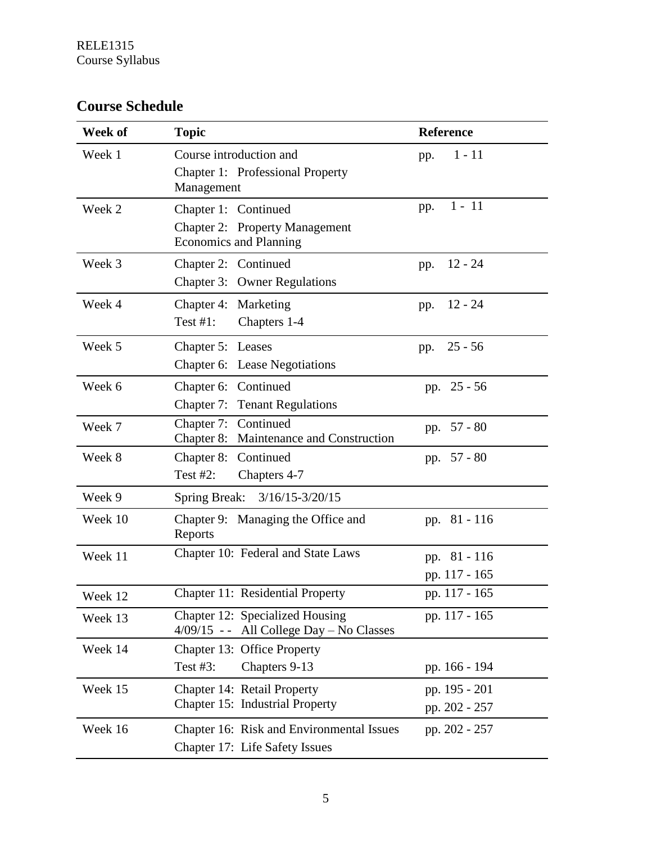# **Course Schedule**

| Week of | <b>Topic</b>                                                                 | <b>Reference</b> |
|---------|------------------------------------------------------------------------------|------------------|
| Week 1  | Course introduction and                                                      | $1 - 11$<br>pp.  |
|         | Chapter 1: Professional Property<br>Management                               |                  |
| Week 2  | Chapter 1: Continued                                                         | $1 - 11$<br>pp.  |
|         | Chapter 2: Property Management<br><b>Economics and Planning</b>              |                  |
| Week 3  | Chapter 2: Continued                                                         | $12 - 24$<br>pp. |
|         | Chapter 3: Owner Regulations                                                 |                  |
| Week 4  | Chapter 4: Marketing                                                         | $12 - 24$<br>pp. |
|         | Test $#1$ :<br>Chapters 1-4                                                  |                  |
| Week 5  | Chapter 5: Leases                                                            | $25 - 56$<br>pp. |
|         | Chapter 6: Lease Negotiations                                                |                  |
| Week 6  | Chapter 6: Continued                                                         | pp. 25 - 56      |
|         | <b>Chapter 7: Tenant Regulations</b>                                         |                  |
| Week 7  | Chapter 7: Continued<br>Chapter 8: Maintenance and Construction              | pp. 57 - 80      |
| Week 8  | Chapter 8: Continued                                                         | pp. 57 - 80      |
|         | Test $#2$ :<br>Chapters 4-7                                                  |                  |
| Week 9  | <b>Spring Break:</b><br>$3/16/15 - 3/20/15$                                  |                  |
| Week 10 | Chapter 9: Managing the Office and<br>Reports                                | pp. 81 - 116     |
| Week 11 | Chapter 10: Federal and State Laws                                           | pp. 81 - 116     |
|         |                                                                              | pp. 117 - 165    |
| Week 12 | Chapter 11: Residential Property                                             | pp. 117 - 165    |
| Week 13 | Chapter 12: Specialized Housing<br>$4/09/15$ -- All College Day – No Classes | pp. 117 - 165    |
| Week 14 | Chapter 13: Office Property                                                  |                  |
|         | Test $#3$ :<br>Chapters 9-13                                                 | pp. 166 - 194    |
| Week 15 | Chapter 14: Retail Property                                                  | pp. 195 - 201    |
|         | Chapter 15: Industrial Property                                              | pp. 202 - 257    |
| Week 16 | Chapter 16: Risk and Environmental Issues                                    | pp. 202 - 257    |
|         | Chapter 17: Life Safety Issues                                               |                  |